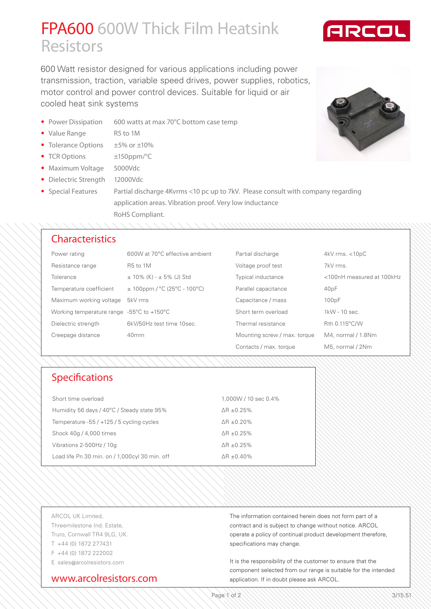## FPA600 600W Thick Film Heatsink **Resistors**

600 Watt resistor designed for various applications including power transmission, traction, variable speed drives, power supplies, robotics, motor control and power control devices. Suitable for liquid or air cooled heat sink systems

- Power Dissipation 600 watts at max 70°C bottom case temp
- Value Range R5 to 1M
- Tolerance Options ±5% or ±10%
- TCR Options ±150ppm/°C
- Maximum Voltage 5000Vdc
- Dielectric Strength 12000Vdc
- Special Features Partial discharge 4Kvrms <10 pc up to 7kV. Please consult with company regarding application areas. Vibration proof. Very low inductance RoHS Compliant.

#### **Characteristics**

| Power rating                                                  | 600W at 70°C effective ambient   | Partial discharge            | $4kV$ rms. $<$ 10pC       |
|---------------------------------------------------------------|----------------------------------|------------------------------|---------------------------|
| Resistance range                                              | R <sub>5</sub> to 1M             | Voltage proof test           | 7kV rms.                  |
| Tolerance                                                     | $\pm$ 10% (K) - $\pm$ 5% (J) Std | Typical inductance           | <100nH measured at 100kHz |
| Temperature coefficient                                       | $\pm$ 100ppm / °C (25°C - 100°C) | Parallel capacitance         | 40pF                      |
| Maximum working voltage                                       | 5kV rms                          | Capacitance / mass           | 100pF                     |
| Working temperature range $-55^{\circ}$ C to $+150^{\circ}$ C |                                  | Short term overload          | 1kW - 10 sec.             |
| Dielectric strength                                           | 6kV/50Hz test time 10sec.        | Thermal resistance           | Rth 0.115°C/W             |
| Creepage distance                                             | 40 <sub>mm</sub>                 | Mounting screw / max. torque | M4, normal / 1.8Nm        |
|                                                               |                                  | Contacts / max. torque       | M5, normal / 2Nm          |

## Specifications

| Short time overload                            | 1,000W / 10 sec 0.4% |  |
|------------------------------------------------|----------------------|--|
| Humidity 56 days / 40°C / Steady state 95%     | $\Delta$ R ±0.25%    |  |
| Temperature -55 / +125 / 5 cycling cycles      | $\Delta$ R ±0.20%    |  |
| Shock 40g / 4,000 times                        | $AR + 0.25\%$        |  |
| Vibrations 2-500Hz / 10q                       | $AR + 0.25\%$        |  |
| Load life Pn 30 min. on / 1,000cyl 30 min. off | $\Delta$ R ± 0.40%   |  |

ARCOL UK Limited, Threemilestone Ind. Estate, Truro, Cornwall TR4 9LG, UK. T +44 (0) 1872 277431 F +44 (0) 1872 222002 E sales@arcolresistors.com

#### www.arcolresistors.com

The information contained herein does not form part of a contract and is subject to change without notice. ARCOL operate a policy of continual product development therefore, specifications may change.

It is the responsibility of the customer to ensure that the component selected from our range is suitable for the intended application. If in doubt please ask ARCOL.